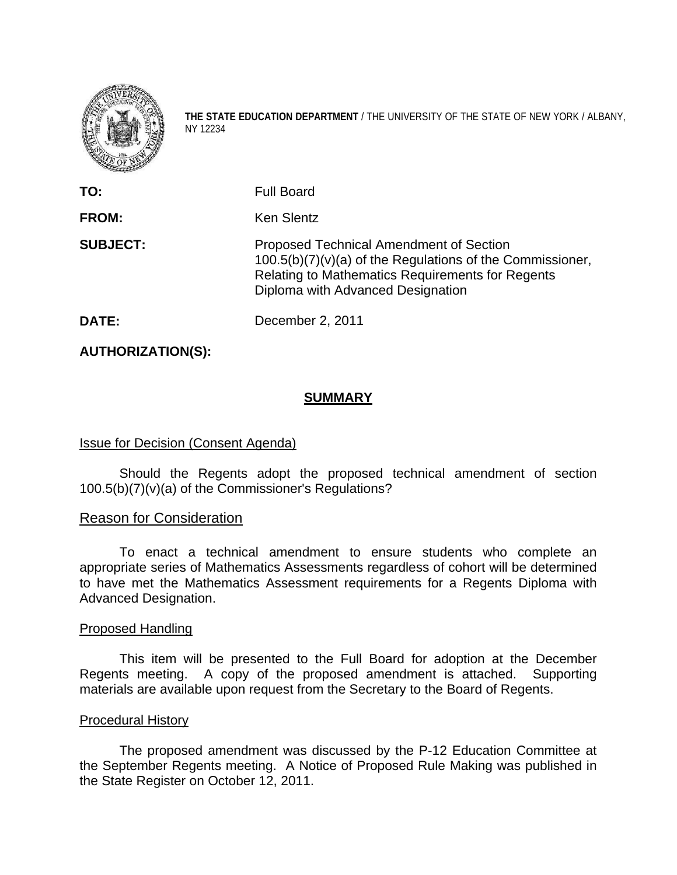

**THE STATE EDUCATION DEPARTMENT** / THE UNIVERSITY OF THE STATE OF NEW YORK / ALBANY, NY 12234

| TO:             | <b>Full Board</b>                                                                                                                                                                                      |
|-----------------|--------------------------------------------------------------------------------------------------------------------------------------------------------------------------------------------------------|
| FROM:           | <b>Ken Slentz</b>                                                                                                                                                                                      |
| <b>SUBJECT:</b> | <b>Proposed Technical Amendment of Section</b><br>$100.5(b)(7)(v)(a)$ of the Regulations of the Commissioner,<br>Relating to Mathematics Requirements for Regents<br>Diploma with Advanced Designation |
| DATE:           | December 2, 2011                                                                                                                                                                                       |

**AUTHORIZATION(S):** 

# **SUMMARY**

# Issue for Decision (Consent Agenda)

 Should the Regents adopt the proposed technical amendment of section 100.5(b)(7)(v)(a) of the Commissioner's Regulations?

## Reason for Consideration

 To enact a technical amendment to ensure students who complete an appropriate series of Mathematics Assessments regardless of cohort will be determined to have met the Mathematics Assessment requirements for a Regents Diploma with Advanced Designation.

#### Proposed Handling

 This item will be presented to the Full Board for adoption at the December Regents meeting. A copy of the proposed amendment is attached. Supporting materials are available upon request from the Secretary to the Board of Regents.

#### Procedural History

 The proposed amendment was discussed by the P-12 Education Committee at the September Regents meeting. A Notice of Proposed Rule Making was published in the State Register on October 12, 2011.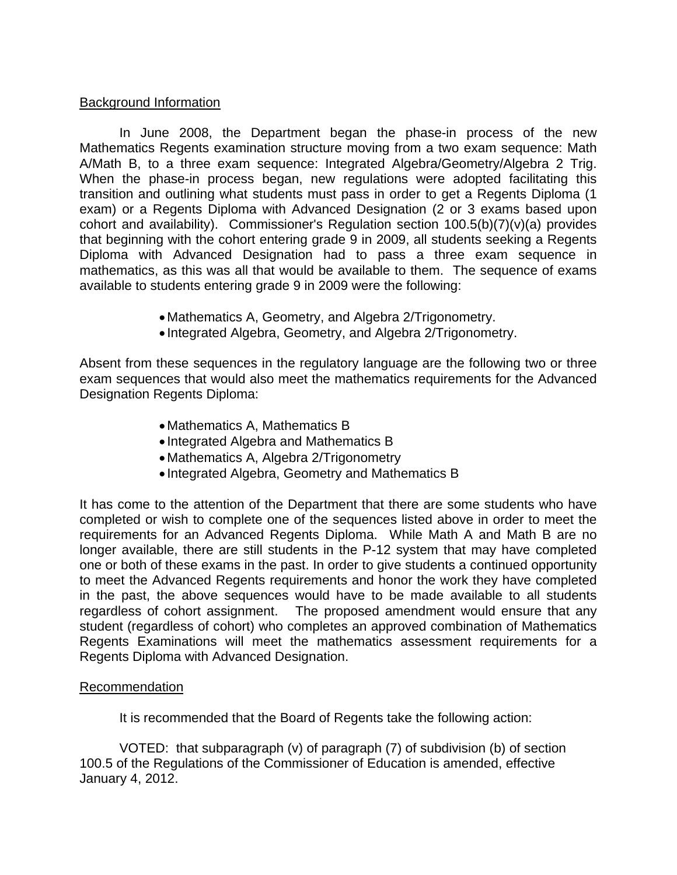### Background Information

 In June 2008, the Department began the phase-in process of the new Mathematics Regents examination structure moving from a two exam sequence: Math A/Math B, to a three exam sequence: Integrated Algebra/Geometry/Algebra 2 Trig. When the phase-in process began, new regulations were adopted facilitating this transition and outlining what students must pass in order to get a Regents Diploma (1 exam) or a Regents Diploma with Advanced Designation (2 or 3 exams based upon cohort and availability). Commissioner's Regulation section 100.5(b)(7)(v)(a) provides that beginning with the cohort entering grade 9 in 2009, all students seeking a Regents Diploma with Advanced Designation had to pass a three exam sequence in mathematics, as this was all that would be available to them. The sequence of exams available to students entering grade 9 in 2009 were the following:

- Mathematics A, Geometry, and Algebra 2/Trigonometry.
- Integrated Algebra, Geometry, and Algebra 2/Trigonometry.

Absent from these sequences in the regulatory language are the following two or three exam sequences that would also meet the mathematics requirements for the Advanced Designation Regents Diploma:

- Mathematics A, Mathematics B
- Integrated Algebra and Mathematics B
- Mathematics A, Algebra 2/Trigonometry
- Integrated Algebra, Geometry and Mathematics B

It has come to the attention of the Department that there are some students who have completed or wish to complete one of the sequences listed above in order to meet the requirements for an Advanced Regents Diploma. While Math A and Math B are no longer available, there are still students in the P-12 system that may have completed one or both of these exams in the past. In order to give students a continued opportunity to meet the Advanced Regents requirements and honor the work they have completed in the past, the above sequences would have to be made available to all students regardless of cohort assignment. The proposed amendment would ensure that any student (regardless of cohort) who completes an approved combination of Mathematics Regents Examinations will meet the mathematics assessment requirements for a Regents Diploma with Advanced Designation.

## Recommendation

It is recommended that the Board of Regents take the following action:

 VOTED: that subparagraph (v) of paragraph (7) of subdivision (b) of section 100.5 of the Regulations of the Commissioner of Education is amended, effective January 4, 2012.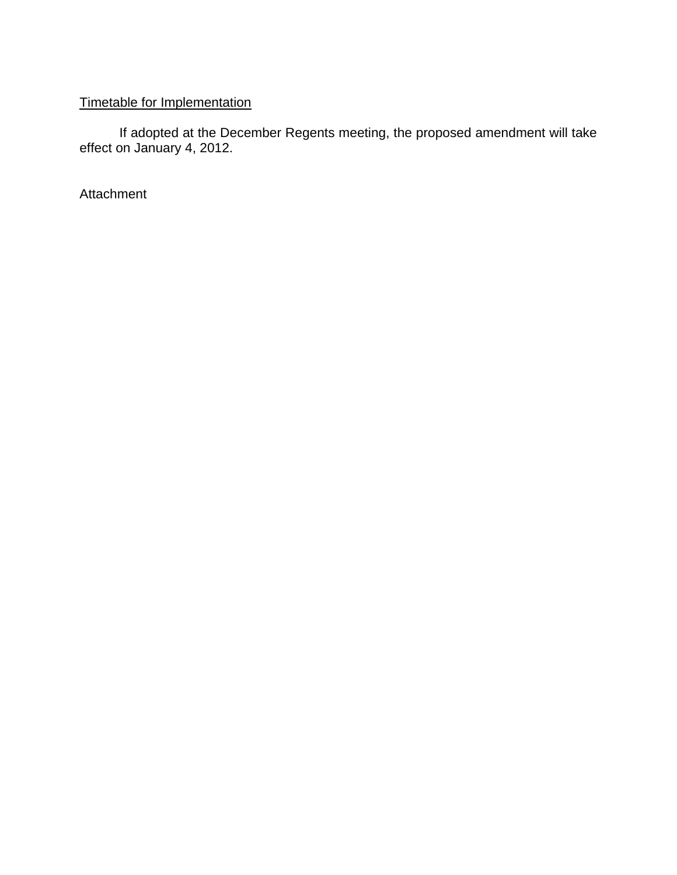# Timetable for Implementation

 If adopted at the December Regents meeting, the proposed amendment will take effect on January 4, 2012.

Attachment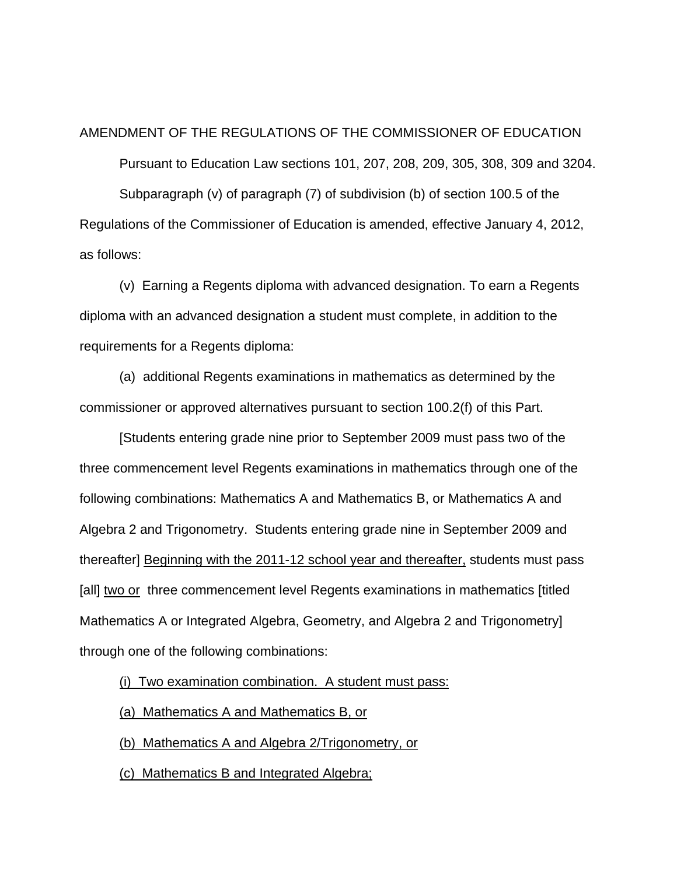#### AMENDMENT OF THE REGULATIONS OF THE COMMISSIONER OF EDUCATION

 Pursuant to Education Law sections 101, 207, 208, 209, 305, 308, 309 and 3204. Subparagraph (v) of paragraph (7) of subdivision (b) of section 100.5 of the Regulations of the Commissioner of Education is amended, effective January 4, 2012, as follows:

 (v) Earning a Regents diploma with advanced designation. To earn a Regents diploma with an advanced designation a student must complete, in addition to the requirements for a Regents diploma:

 (a) additional Regents examinations in mathematics as determined by the commissioner or approved alternatives pursuant to section 100.2(f) of this Part.

 [Students entering grade nine prior to September 2009 must pass two of the three commencement level Regents examinations in mathematics through one of the following combinations: Mathematics A and Mathematics B, or Mathematics A and Algebra 2 and Trigonometry. Students entering grade nine in September 2009 and thereafter] Beginning with the 2011-12 school year and thereafter, students must pass [all] two or three commencement level Regents examinations in mathematics [titled] Mathematics A or Integrated Algebra, Geometry, and Algebra 2 and Trigonometry] through one of the following combinations:

(i) Two examination combination. A student must pass:

(a) Mathematics A and Mathematics B, or

(b) Mathematics A and Algebra 2/Trigonometry, or

(c) Mathematics B and Integrated Algebra;